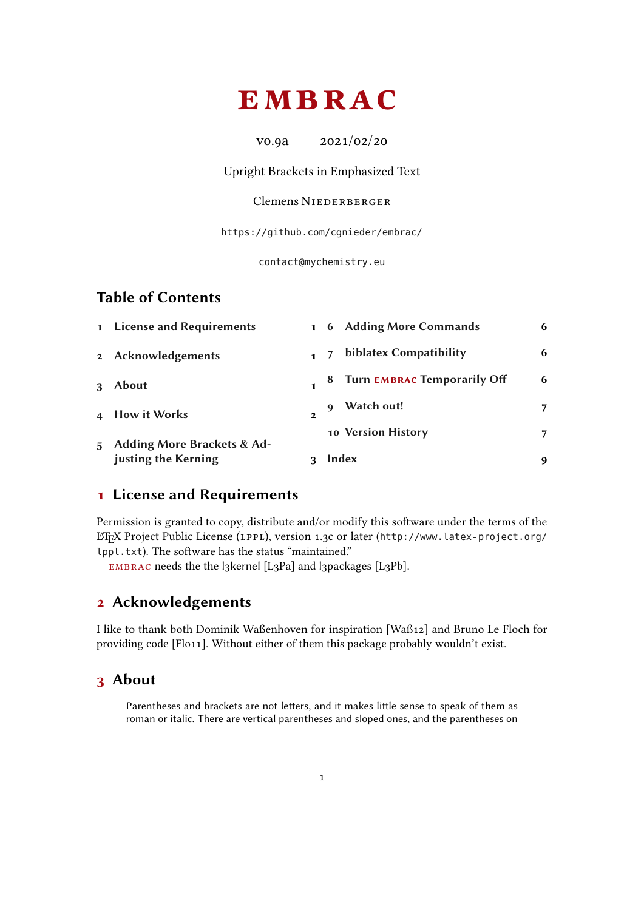# <span id="page-0-4"></span><span id="page-0-3"></span>EMBRAC

v0.9a 2021/02/20

Upright Brackets in Emphasized Text

### Clemens NIEDERBERGER

<https://github.com/cgnieder/embrac/>

[contact@mychemistry.eu](mailto:contact@mychemistry.eu)

### Table of Contents

|             | justing the Kerning        |              |   | Index                         | 9 |
|-------------|----------------------------|--------------|---|-------------------------------|---|
| $5^{\circ}$ | Adding More Brackets & Ad- |              |   | 10 Version History            |   |
|             | 4 How it Works             | $\mathbf{2}$ | q | Watch out!                    |   |
| 3           | <b>About</b>               |              |   | 8 Turn EMBRAC Temporarily Off | 6 |
|             | 2 Acknowledgements         |              |   | biblatex Compatibility        | 6 |
|             | 1 License and Requirements |              |   | 1 6 Adding More Commands      | 6 |

### <span id="page-0-0"></span>1 License and Requirements

Permission is granted to copy, distribute and/or modify this software under the terms of the LATEX Project Public License (LPPL), version 1.3c or later ([http://www.latex-project.org/](http://www.latex-project.org/lppl.txt) [lppl.txt](http://www.latex-project.org/lppl.txt)). The software has the status "maintained."

embrac needs the the l3kernel [L3Pa] and l3packages [L3Pb].

### <span id="page-0-1"></span>2 Acknowledgements

I like to thank both Dominik Waßenhoven for inspiration [Waß12] and Bruno Le Floch for providing code [Flo11]. Without either of them this package probably wouldn't exist.

### <span id="page-0-2"></span>3 About

Parentheses and brackets are not letters, and it makes little sense to speak of them as roman or italic. There are vertical parentheses and sloped ones, and the parentheses on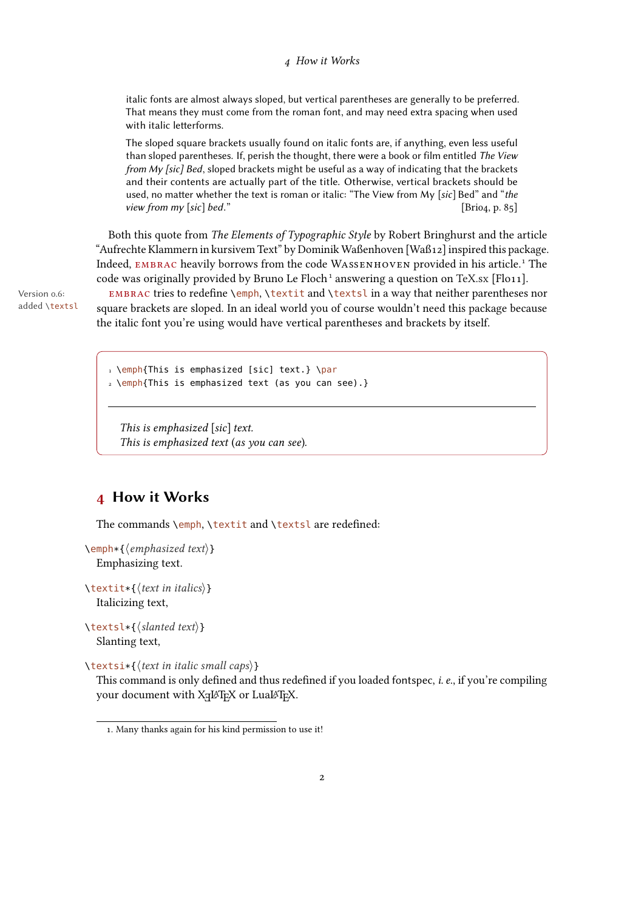#### 4 How it Works

<span id="page-1-2"></span>italic fonts are almost always sloped, but vertical parentheses are generally to be preferred. That means they must come from the roman font, and may need extra spacing when used with italic letterforms.

The sloped square brackets usually found on italic fonts are, if anything, even less useful than sloped parentheses. If, perish the thought, there were a book or film entitled The View from My [sic] Bed, sloped brackets might be useful as a way of indicating that the brackets and their contents are actually part of the title. Otherwise, vertical brackets should be used, no matter whether the text is roman or italic: "The View from My [sic] Bed" and "the view from my [sic] bed."  $[\text{Brio}_4, p. 85]$ 

Both this quote from The Elements of Typographic Style by Robert Bringhurst and the article "Aufrechte Klammern in kursivem Text" by Dominik Waßenhoven [Waß12] inspired this package. Indeed, embrac heavily borrows from the code Wassenhoven provided in his article[.1](#page-1-1) The code was originally provided by Bruno Le Floch<sup>1</sup> answering a question on [TeX.sx](http://tex.stackexchange.com) [Flo11].

added \textsl

Version 0.6: EMBRAC tries to redefine \emph, \textit and \textsl in a way that neither parentheses nor square brackets are sloped. In an ideal world you of course wouldn't need this package because the italic font you're using would have vertical parentheses and brackets by itself.

> 1 \emph{This is emphasized [sic] text.} \par 2 \emph{This is emphasized text (as you can see).}

This is emphasized [sic] text. This is emphasized text (as you can see).

### <span id="page-1-0"></span>4 How it Works

The commands \emph, \textit and \textsl are redefined:

 $\text{Qemph*}\{\text{emphasized text}\}$ Emphasizing text.

 $\text{text}$ itextit $\{ \text{text} \text{in} \text{ } \text{italics} \}$ Italicizing text,

 $\text{text*}\$  \textsl\*{\slanted text}} Slanting text,

 $\text{text in italic small caps}$ }

This command is only defined and thus redefined if you loaded fontspec,  $i.e.,$  if you're compiling your document with XqL⁄TEX or LuaL⁄TEX.

<span id="page-1-1"></span><sup>1.</sup> Many thanks again for his kind permission to use it!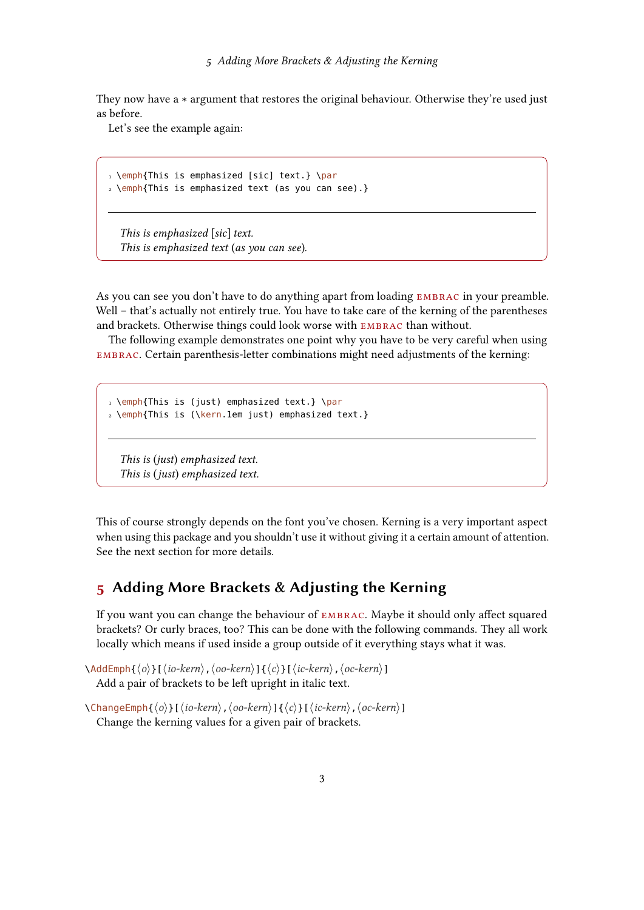<span id="page-2-1"></span>They now have a \* argument that restores the original behaviour. Otherwise they're used just as before.

Let's see the example again:

```
1 \emph{This is emphasized [sic] text.} \par
2 \emph{This is emphasized text (as you can see).}
```
This is emphasized  $[sic]$  text. This is emphasized text (as you can see).

As you can see you don't have to do anything apart from loading EMBRAC in your preamble. Well – that's actually not entirely true. You have to take care of the kerning of the parentheses and brackets. Otherwise things could look worse with embrac than without.

The following example demonstrates one point why you have to be very careful when using embrac. Certain parenthesis-letter combinations might need adjustments of the kerning:

```
1 \emph{This is (just) emphasized text.} \par
2 \emph{This is (\kern.1em just) emphasized text.}
```
This is (just) emphasized text. This is (just) emphasized text.

This of course strongly depends on the font you've chosen. Kerning is a very important aspect when using this package and you shouldn't use it without giving it a certain amount of attention. See the next section for more details.

### <span id="page-2-0"></span>5 Adding More Brackets & Adjusting the Kerning

If you want you can change the behaviour of EMBRAC. Maybe it should only affect squared brackets? Or curly braces, too? This can be done with the following commands. They all work locally which means if used inside a group outside of it everything stays what it was.

```
\AddEmph\{\langle o \rangle\}[\langle io-kern \rangle,\langle oo-kern \rangle]\{\langle c \rangle\}[\langle ic-kern \rangle,\langle oc-kern \rangle]Add a pair of brackets to be left upright in italic text.
```

```
\{\n\lambda\Emph\{\langle o \rangle\}[\langle io-kern \rangle,\langle oo-kern \rangle]\{ \langle c \rangle\}[\langle ic-kern \rangle,\langle oc-kern \rangle]
    Change the kerning values for a given pair of brackets.
```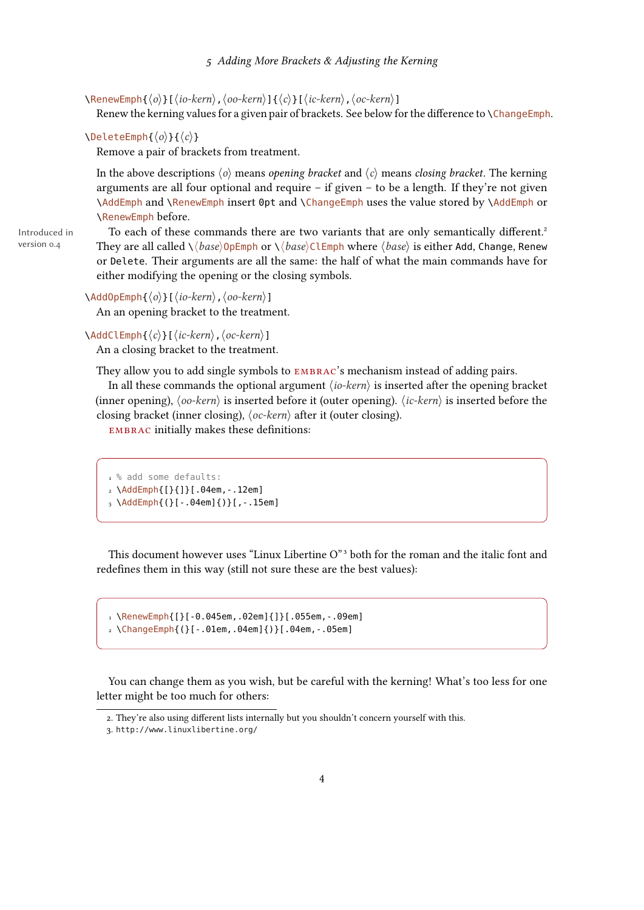#### 5 Adding More Brackets & Adjusting the Kerning

<span id="page-3-2"></span> $\Re\text{RenewEmph}\{\langle o \rangle\}[\langle io-kern \rangle,\langle oo-kern \rangle]\{\langle c \rangle\}[\langle ic-krn \rangle,\langle oc-krn \rangle]$ 

Renew the kerning values for a given pair of brackets. See below for the difference to  $\ChangeEmph$ .

#### $\Delta$ DeleteEmph{ $\langle o \rangle$ }{ $\langle c \rangle$ }

Remove a pair of brackets from treatment.

In the above descriptions  $\langle o \rangle$  means *opening bracket* and  $\langle c \rangle$  means *closing bracket*. The kerning arguments are all four optional and require  $-$  if given  $-$  to be a length. If they're not given \AddEmph and \RenewEmph insert 0pt and \ChangeEmph uses the value stored by \AddEmph or \RenewEmph before.

Introduced in version 0.4

To each of these commands there are two variants that are only semantically different.<sup>2</sup> They are all called  $\setminus \langle base \rangle$  OpEmph or  $\setminus \langle base \rangle$  ClEmph where  $\langle base \rangle$  is either Add, Change, Renew or Delete. Their arguments are all the same: the half of what the main commands have for either modifying the opening or the closing symbols.

#### $\{\phi\}\$ [ $\langle io-kern\rangle$ ]

An an opening bracket to the treatment.

#### $\AddCLEmph\{\langle c\rangle\}$ [ $\langle ic\text{-}kern\rangle$ ,  $\langle oc\text{-}kern\rangle$ ]

An a closing bracket to the treatment.

They allow you to add single symbols to **EMBRAC**'s mechanism instead of adding pairs.

In all these commands the optional argument  $\langle io-kern \rangle$  is inserted after the opening bracket (inner opening),  $\langle oo-kern \rangle$  is inserted before it (outer opening).  $\langle ic-kern \rangle$  is inserted before the closing bracket (inner closing),  $\langle oc\text{-}kern \rangle$  after it (outer closing).

EMBRAC initially makes these definitions:

```
1 % add some defaults:
2 \AddEmph{[}{]}[.04em,-.12em]
3 \AddEmph{(}[-.04em]{)}[,-.15em]
```
This document however uses "Linux Libertine O["3](#page-3-1) both for the roman and the italic font and redefines them in this way (still not sure these are the best values):

```
1 \RenewEmph{[}[-0.045em,.02em]{]}[.055em,-.09em]
```

```
2 \ChangeEmph{(}[-.01em,.04em]{)}[.04em,-.05em]
```
You can change them as you wish, but be careful with the kerning! What's too less for one letter might be too much for others:

<span id="page-3-0"></span><sup>2.</sup> They're also using different lists internally but you shouldn't concern yourself with this.

<span id="page-3-1"></span><sup>3.</sup> <http://www.linuxlibertine.org/>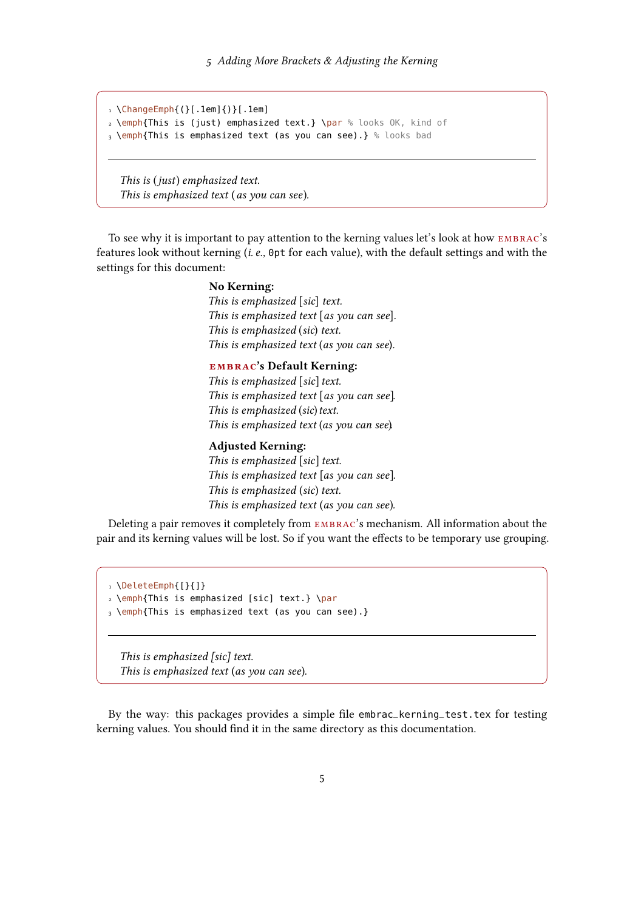```
1 \ChangeEmph{(}[.1em]{)}[.1em]
2 \emph{This is (just) emphasized text.} \par % looks OK, kind of
3 \emph{This is emphasized text (as you can see).} % looks bad
```
This is (just) emphasized text. This is emphasized text (as you can see).

To see why it is important to pay attention to the kerning values let's look at how embrac's features look without kerning (i. e., 0pt for each value), with the default settings and with the settings for this document:

#### No Kerning:

This is emphasized [sic] text. This is emphasized text [as you can see]. This is emphasized (sic) text. This is emphasized text (as you can see).

#### embrac's Default Kerning:

This is emphasized [sic] text. This is emphasized text [as you can see]. This is emphasized (sic) text. This is emphasized text (as you can see).

#### Adjusted Kerning:

This is emphasized [sic] text. This is emphasized text [as you can see]. This is emphasized (sic) text. This is emphasized text (as you can see).

Deleting a pair removes it completely from embrac's mechanism. All information about the pair and its kerning values will be lost. So if you want the effects to be temporary use grouping.

```
1 \DeleteEmph{[}{]}
2 \emph{This is emphasized [sic] text.} \par
3 \emph{This is emphasized text (as you can see).}
```
This is emphasized [sic] text. This is emphasized text (as you can see).

By the way: this packages provides a simple file embrac\_kerning\_test.tex for testing kerning values. You should find it in the same directory as this documentation.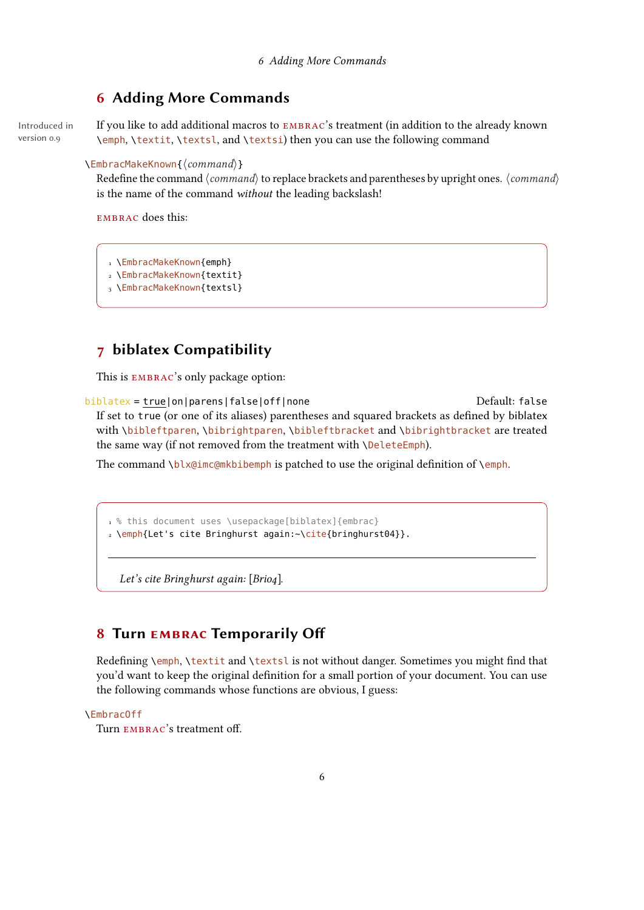### <span id="page-5-3"></span><span id="page-5-0"></span>6 Adding More Commands

Introduced in version 0.9

If you like to add additional macros to EMBRAC's treatment (in addition to the already known \emph, \textit, \textsl, and \textsi) then you can use the following command

#### $\text{EmbracMakeKnown}\{\text{command}\}\$

Redefine the command  $\langle command \rangle$  to replace brackets and parentheses by upright ones.  $\langle command \rangle$ is the name of the command without the leading backslash!

EMBRAC does this:

- 1 \EmbracMakeKnown{emph}
- 2 \EmbracMakeKnown{textit}
- 3 \EmbracMakeKnown{textsl}

### <span id="page-5-1"></span>7 biblatex Compatibility

This is EMBRAC's only package option:

biblatex = true|on|parens|false|off|none default: false Default: false If set to true (or one of its aliases) parentheses and squared brackets as defined by biblatex with \bibleftparen, \bibrightparen, \bibleftbracket and \bibrightbracket are treated the same way (if not removed from the treatment with \DeleteEmph).

The command \blx@imc@mkbibemph is patched to use the original definition of \emph.

```
1 % this document uses \usepackage[biblatex]{embrac}
2 \emph{Let's cite Bringhurst again:~\cite{bringhurst04}}.
```
Let's cite Bringhurst again: [Brio4].

### <span id="page-5-2"></span>8 Turn EMBRAC Temporarily Off

Redefining \emph, \textit and \textsl is not without danger. Sometimes you might find that you'd want to keep the original definition for a small portion of your document. You can use the following commands whose functions are obvious, I guess:

#### \EmbracOff

Turn EMBRAC's treatment off.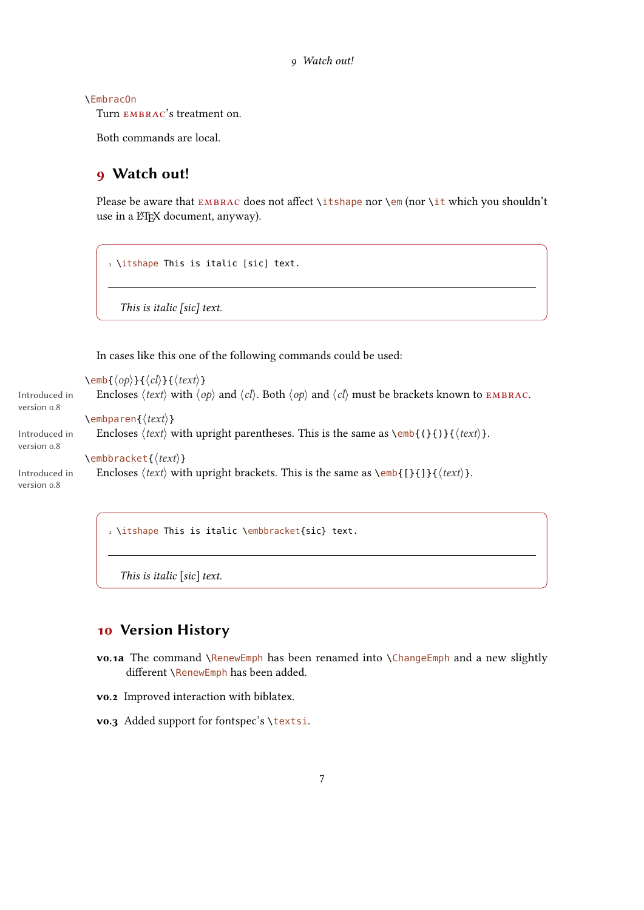<span id="page-6-2"></span>\EmbracOn

Turn embrac's treatment on.

Both commands are local.

### <span id="page-6-0"></span>9 Watch out!

Please be aware that EMBRAC does not affect \itshape nor \em (nor \it which you shouldn't use in a ETEX document, anyway).

```
1 \itshape This is italic [sic] text.
```
This is italic [sic] text.

In cases like this one of the following commands could be used:

```
\text{Qep}\}\{\langle cb\rangle\}\{\langle cb\rangle\}\Introduced in
version 0.8
                       Encloses \langle text \rangle with \langle op \rangle and \langle cl \rangle. Both \langle op \rangle and \langle cl \rangle must be brackets known to EMBRAC.
                    \text{Rembparent}(\text{text})Introduced in
version 0.8
                       Encloses \text{text} with upright parentheses. This is the same as \emph{emb}{}{{}}}{\text{text}}.
                    \text{Qembbracket}\left\{\text{text}\right\}Introduced in
version 0.8
                       Encloses \text{text} with upright brackets. This is the same as \text{cmb}{[}{]}{\text{text}}.
```
1 \itshape This is italic \embbracket{sic} text.

This is italic [sic] text.

#### <span id="page-6-1"></span>10 Version History

- vo.1a The command \RenewEmph has been renamed into \ChangeEmph and a new slightly  $d$ ifferent \RenewEmph has been added.
- v0.2 Improved interaction with biblatex.
- vo.3 Added support for fontspec's \textsi.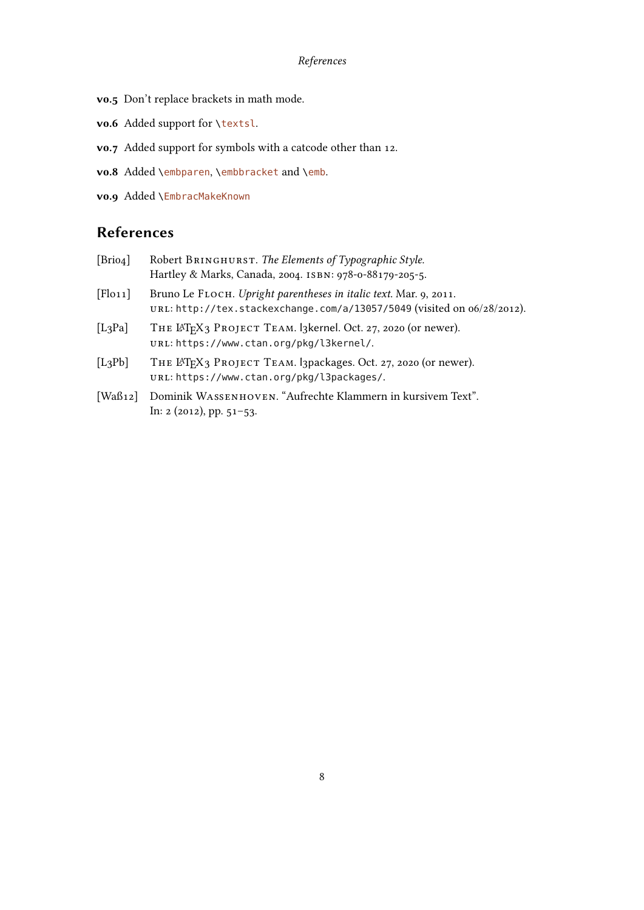#### References

- <span id="page-7-0"></span>v0.5 Don't replace brackets in math mode.
- v0.6 Added support for \textsl.
- v0.7 Added support for symbols with a catcode other than 12.
- vo.8 Added \embparen, \embbracket and \emb.
- v0.9 Added \EmbracMakeKnown

### References

| [Brio4]     | Robert BRINGHURST. The Elements of Typographic Style.<br>Hartley & Marks, Canada, 2004. ISBN: 978-0-88179-205-5.                                                                                                             |
|-------------|------------------------------------------------------------------------------------------------------------------------------------------------------------------------------------------------------------------------------|
| [Flo11]     | Bruno Le FLOCH. Upright parentheses in italic text. Mar. 9, 2011.<br>URL: http://tex.stackexchange.com/a/13057/5049 (visited on o6/28/2012).                                                                                 |
| [ $L_3$ Pa] | THE LATEX3 PROJECT TEAM. 13 kernel. Oct. 27, 2020 (or newer).<br>URL: https://www.ctan.org/pkg/l3kernel/.                                                                                                                    |
| $[L_3Pb]$   | THE LATEX3 PROJECT TEAM. I3packages. Oct. 27, 2020 (or newer).<br>URL: https://www.ctan.org/pkg/l3packages/.                                                                                                                 |
|             | $\left[\mathbf{W}^{T}, \theta_{\text{u}}\right]$ . $\mathbf{D}_{\text{u}}$ , $\mathbf{H}$ . As expressed to $\mathbf{W}$ . $\mathbf{L}_{\text{u}}$ . $\mathbf{L}_{\text{u}}$ . It is the contract of $\mathbf{L}_{\text{u}}$ |

[Waß12] Dominik Wassenhoven. "Aufrechte Klammern in kursivem Text". In: 2 (2012), pp. 51–53.